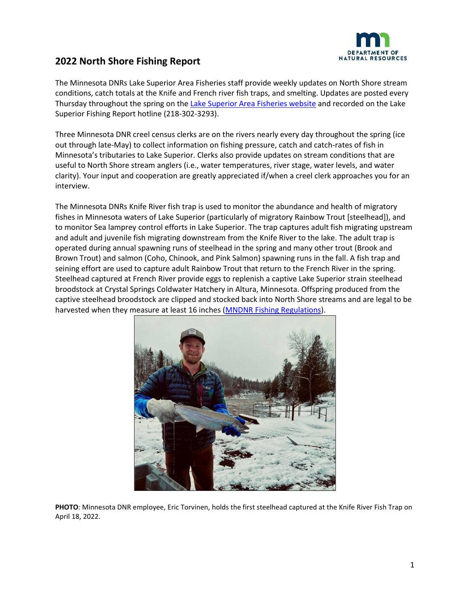

The Minnesota DNRs Lake Superior Area Fisheries staff provide weekly updates on North Shore stream conditions, catch totals at the Knife and French river fish traps, and smelting. Updates are posted every Thursday throughout the spring on the [Lake Superior Area Fisheries website](https://www.dnr.state.mn.us/areas/fisheries/lakesuperior/index.html) and recorded on the Lake Superior Fishing Report hotline (218-302-3293).

Three Minnesota DNR creel census clerks are on the rivers nearly every day throughout the spring (ice out through late-May) to collect information on fishing pressure, catch and catch-rates of fish in Minnesota's tributaries to Lake Superior. Clerks also provide updates on stream conditions that are useful to North Shore stream anglers (i.e., water temperatures, river stage, water levels, and water clarity). Your input and cooperation are greatly appreciated if/when a creel clerk approaches you for an interview.

The Minnesota DNRs Knife River fish trap is used to monitor the abundance and health of migratory fishes in Minnesota waters of Lake Superior (particularly of migratory Rainbow Trout [steelhead]), and to monitor Sea lamprey control efforts in Lake Superior. The trap captures adult fish migrating upstream and adult and juvenile fish migrating downstream from the Knife River to the lake. The adult trap is operated during annual spawning runs of steelhead in the spring and many other trout (Brook and Brown Trout) and salmon (Coho, Chinook, and Pink Salmon) spawning runs in the fall. A fish trap and seining effort are used to capture adult Rainbow Trout that return to the French River in the spring. Steelhead captured at French River provide eggs to replenish a captive Lake Superior strain steelhead broodstock at Crystal Springs Coldwater Hatchery in Altura, Minnesota. Offspring produced from the captive steelhead broodstock are clipped and stocked back into North Shore streams and are legal to be harvested when they measure at least 16 inches [\(MNDNR Fishing Regulations\)](https://www.dnr.state.mn.us/regulations/fishing/index.html).



**PHOTO**: Minnesota DNR employee, Eric Torvinen, holds the first steelhead captured at the Knife River Fish Trap on April 18, 2022.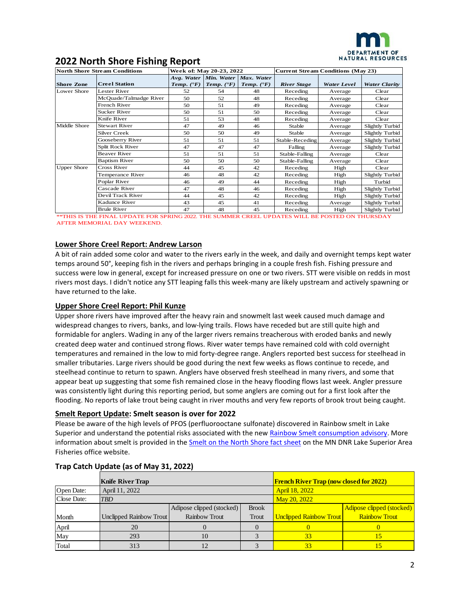

| <b>North Shore Stream Conditions</b> |                                                                                                                                     | Week of: May 20-23, 2022 |                         |                                                           | <b>Current Stream Conditions (May 23)</b> |             |                        |  |
|--------------------------------------|-------------------------------------------------------------------------------------------------------------------------------------|--------------------------|-------------------------|-----------------------------------------------------------|-------------------------------------------|-------------|------------------------|--|
| <b>Shore Zone</b>                    | <b>Creel Station</b>                                                                                                                | Temp. $(\mathbf{P}F)$    | Temp. $({}^{\bullet}F)$ | Avg. Water Min. Water Max. Water<br>Temp. $(\mathbf{P}F)$ | <b>River Stage</b>                        | Water Level | <b>Water Clarity</b>   |  |
| Lower Shore                          | <b>Lester River</b>                                                                                                                 | 52                       | 54                      | 48                                                        | Receding                                  | Average     | Clear                  |  |
|                                      | McOuade/Talmadge River                                                                                                              | 50                       | 52                      | 48                                                        | Receding                                  | Average     | Clear                  |  |
|                                      | French River                                                                                                                        | 50                       | 51                      | 49                                                        | Receding                                  | Average     | Clear                  |  |
|                                      | <b>Sucker River</b>                                                                                                                 | 50                       | 51                      | 50                                                        | Receding                                  | Average     | Clear                  |  |
|                                      | Knife River                                                                                                                         | 51                       | 53                      | 48                                                        | Receding                                  | Average     | Clear                  |  |
| Middle Shore                         | <b>Stewart River</b>                                                                                                                | 47                       | 49                      | 46                                                        | Stable                                    | Average     | <b>Slightly Turbid</b> |  |
|                                      | <b>Silver Creek</b>                                                                                                                 | 50                       | 50                      | 49                                                        | Stable                                    | Average     | <b>Slightly Turbid</b> |  |
|                                      | Gooseberry River                                                                                                                    | 51                       | 51                      | 51                                                        | Stable-Receding                           | Average     | <b>Slightly Turbid</b> |  |
|                                      | Split Rock River                                                                                                                    | 47                       | 47                      | 47                                                        | Falling                                   | Average     | Slightly Turbid        |  |
|                                      | <b>Beaver River</b>                                                                                                                 | 51                       | 51                      | 51                                                        | Stable-Falling                            | Average     | Clear                  |  |
|                                      | <b>Baptism River</b>                                                                                                                | 50                       | 50                      | 50                                                        | Stable-Falling                            | Average     | Clear                  |  |
| <b>Upper Shore</b>                   | Cross River                                                                                                                         | 44                       | 45                      | 42                                                        | Receding                                  | High        | Clear                  |  |
|                                      | Temperance River                                                                                                                    | 46                       | 48                      | 42                                                        | Receding                                  | High        | <b>Slightly Turbid</b> |  |
|                                      | Poplar River                                                                                                                        | 46                       | 49                      | 44                                                        | Receding                                  | High        | Turbid                 |  |
|                                      | Cascade River                                                                                                                       | 47                       | 48                      | 46                                                        | Receding                                  | High        | <b>Slightly Turbid</b> |  |
|                                      | Devil Track River                                                                                                                   | 44                       | 45                      | 42                                                        | Receding                                  | High        | <b>Slightly Turbid</b> |  |
|                                      | Kadunce River                                                                                                                       | 43                       | 45                      | 41                                                        | Receding                                  | Average     | Slightly Turbid        |  |
|                                      | <b>Brule River</b><br>A 200 TO 20 PUT PRILLE TREE LORE CONTRACTOR AGO PUT CUR ALCOHOL CREST TREE LORG WILL BE BOODED ON SULPAN IN A | 47                       | 48                      | 45                                                        | Receding                                  | High        | <b>Slightly Turbid</b> |  |

\*\*THIS IS THE FINAL UPDATE FOR SPRING 2022. THE SUMMER CREEL UPDATES WILL BE POSTED ON THURSDAY AFTER MEMORIAL DAY WEEKEND.

#### **Lower Shore Creel Report: Andrew Larson**

A bit of rain added some color and water to the rivers early in the week, and daily and overnight temps kept water temps around 50°, keeping fish in the rivers and perhaps bringing in a couple fresh fish. Fishing pressure and success were low in general, except for increased pressure on one or two rivers. STT were visible on redds in most rivers most days. I didn't notice any STT leaping falls this week-many are likely upstream and actively spawning or have returned to the lake.

#### **Upper Shore Creel Report: Phil Kunze**

Upper shore rivers have improved after the heavy rain and snowmelt last week caused much damage and widespread changes to rivers, banks, and low-lying trails. Flows have receded but are still quite high and formidable for anglers. Wading in any of the larger rivers remains treacherous with eroded banks and newly created deep water and continued strong flows. River water temps have remained cold with cold overnight temperatures and remained in the low to mid forty-degree range. Anglers reported best success for steelhead in smaller tributaries. Large rivers should be good during the next few weeks as flows continue to recede, and steelhead continue to return to spawn. Anglers have observed fresh steelhead in many rivers, and some that appear beat up suggesting that some fish remained close in the heavy flooding flows last week. Angler pressure was consistently light during this reporting period, but some anglers are coming out for a first look after the flooding. No reports of lake trout being caught in river mouths and very few reports of brook trout being caught.

#### **Smelt Report Update: Smelt season is over for 2022**

Please be aware of the high levels of PFOS (perfluorooctane sulfonate) discovered in Rainbow smelt in Lake Superior and understand the potential risks associated with the ne[w Rainbow Smelt consumption advisory.](https://dnr.wisconsin.gov/newsroom/release/40496) More information about smelt is provided in the **Smelt on the North Shore fact sheet** on the MN DNR Lake Superior Area Fisheries office website.

|             | <b>Knife River Trap</b> |                           | <b>French River Trap (now closed for 2022)</b> |                                |                           |  |
|-------------|-------------------------|---------------------------|------------------------------------------------|--------------------------------|---------------------------|--|
| Open Date:  | April 11, 2022          |                           |                                                | April 18, 2022                 |                           |  |
| Close Date: | <b>TBD</b>              |                           | May 20, 2022                                   |                                |                           |  |
|             |                         | Adipose clipped (stocked) | <b>Brook</b>                                   |                                | Adipose clipped (stocked) |  |
| Month       | Unclipped Rainbow Trout | Rainbow Trout             | Trout                                          | <b>Unclipped Rainbow Trout</b> | <b>Rainbow Trout</b>      |  |
| April       | 20                      |                           |                                                |                                |                           |  |
| May         | 293                     | 10                        |                                                | 33                             |                           |  |
| Total       | 313                     |                           |                                                | 33                             |                           |  |

#### **Trap Catch Update (as of May 31, 2022)**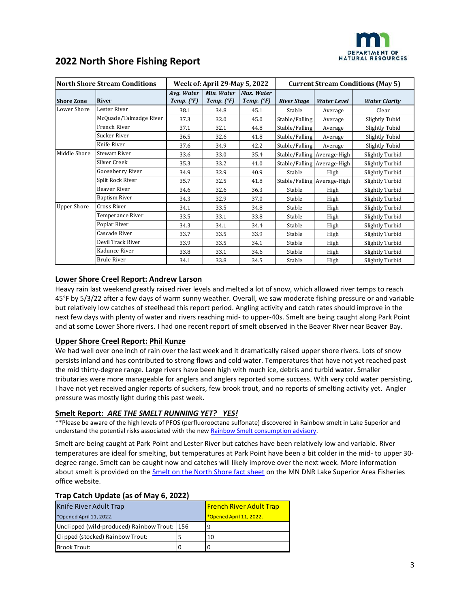

| <b>North Shore Stream Conditions</b> |                        | <b>Week of: April 29-May 5, 2022</b> |                                   |                          | <b>Current Stream Conditions (May 5)</b> |                    |                      |
|--------------------------------------|------------------------|--------------------------------------|-----------------------------------|--------------------------|------------------------------------------|--------------------|----------------------|
| <b>Shore Zone</b>                    | <b>River</b>           | Avg. Water<br>Temp. $(^{\circ}F)$    | Min. Water<br>Temp. $(^{\circ}F)$ | Max. Water<br>Temp. (°F) | <b>River Stage</b>                       | <b>Water Level</b> | <b>Water Clarity</b> |
| Lower Shore                          | Lester River           | 38.1                                 | 34.8                              | 45.1                     | Stable                                   | Average            | Clear                |
|                                      | McQuade/Talmadge River | 37.3                                 | 32.0                              | 45.0                     | Stable/Falling                           | Average            | Slightly Tubid       |
|                                      | French River           | 37.1                                 | 32.1                              | 44.8                     | Stable/Falling                           | Average            | Slightly Tubid       |
|                                      | Sucker River           | 36.5                                 | 32.6                              | 41.8                     | Stable/Falling                           | Average            | Slightly Tubid       |
|                                      | Knife River            | 37.6                                 | 34.9                              | 42.2                     | Stable/Falling                           | Average            | Slightly Tubid       |
| Middle Shore                         | <b>Stewart River</b>   | 33.6                                 | 33.0                              | 35.4                     | Stable/Falling Average-High              |                    | Slightly Turbid      |
|                                      | Silver Creek           | 35.3                                 | 33.2                              | 41.0                     | Stable/Falling Average-High              |                    | Slightly Turbid      |
|                                      | Gooseberry River       | 34.9                                 | 32.9                              | 40.9                     | Stable                                   | High               | Slightly Turbid      |
|                                      | Split Rock River       | 35.7                                 | 32.5                              | 41.8                     | Stable/Falling Average-High              |                    | Slightly Turbid      |
|                                      | Beaver River           | 34.6                                 | 32.6                              | 36.3                     | Stable                                   | High               | Slightly Turbid      |
|                                      | Baptism River          | 34.3                                 | 32.9                              | 37.0                     | Stable                                   | High               | Slightly Turbid      |
| <b>Upper Shore</b>                   | Cross River            | 34.1                                 | 33.5                              | 34.8                     | Stable                                   | High               | Slightly Turbid      |
|                                      | Temperance River       | 33.5                                 | 33.1                              | 33.8                     | Stable                                   | High               | Slightly Turbid      |
|                                      | Poplar River           | 34.3                                 | 34.1                              | 34.4                     | Stable                                   | High               | Slightly Turbid      |
|                                      | Cascade River          | 33.7                                 | 33.5                              | 33.9                     | Stable                                   | High               | Slightly Turbid      |
|                                      | Devil Track River      | 33.9                                 | 33.5                              | 34.1                     | Stable                                   | High               | Slightly Turbid      |
|                                      | Kadunce River          | 33.8                                 | 33.1                              | 34.6                     | Stable                                   | High               | Slightly Turbid      |
|                                      | <b>Brule River</b>     | 34.1                                 | 33.8                              | 34.5                     | Stable                                   | High               | Slightly Turbid      |

#### **Lower Shore Creel Report: Andrew Larson**

Heavy rain last weekend greatly raised river levels and melted a lot of snow, which allowed river temps to reach 45°F by 5/3/22 after a few days of warm sunny weather. Overall, we saw moderate fishing pressure or and variable but relatively low catches of steelhead this report period. Angling activity and catch rates should improve in the next few days with plenty of water and rivers reaching mid- to upper-40s. Smelt are being caught along Park Point and at some Lower Shore rivers. I had one recent report of smelt observed in the Beaver River near Beaver Bay.

#### **Upper Shore Creel Report: Phil Kunze**

We had well over one inch of rain over the last week and it dramatically raised upper shore rivers. Lots of snow persists inland and has contributed to strong flows and cold water. Temperatures that have not yet reached past the mid thirty-degree range. Large rivers have been high with much ice, debris and turbid water. Smaller tributaries were more manageable for anglers and anglers reported some success. With very cold water persisting, I have not yet received angler reports of suckers, few brook trout, and no reports of smelting activity yet. Angler pressure was mostly light during this past week.

#### **Smelt Report:** *ARE THE SMELT RUNNING YET? YES!*

\*\*Please be aware of the high levels of PFOS (perfluorooctane sulfonate) discovered in Rainbow smelt in Lake Superior and understand the potential risks associated with the ne[w Rainbow Smelt consumption advisory.](https://dnr.wisconsin.gov/newsroom/release/40496)

Smelt are being caught at Park Point and Lester River but catches have been relatively low and variable. River temperatures are ideal for smelting, but temperatures at Park Point have been a bit colder in the mid- to upper 30 degree range. Smelt can be caught now and catches will likely improve over the next week. More information about smelt is provided on th[e Smelt on the North Shore fact sheet](http://www.dnr.state.mn.us/areas/fisheries/lakesuperior/smelt.html) on the MN DNR Lake Superior Area Fisheries office website.

#### **Trap Catch Update (as of May 6, 2022)**

| Knife River Adult Trap                       | <b>French River Adult Trap</b> |                         |  |
|----------------------------------------------|--------------------------------|-------------------------|--|
| *Opened April 11, 2022.                      |                                | *Opened April 11, 2022. |  |
| Unclipped (wild-produced) Rainbow Trout: 156 |                                |                         |  |
| Clipped (stocked) Rainbow Trout:             |                                | 10                      |  |
| Brook Trout:                                 |                                |                         |  |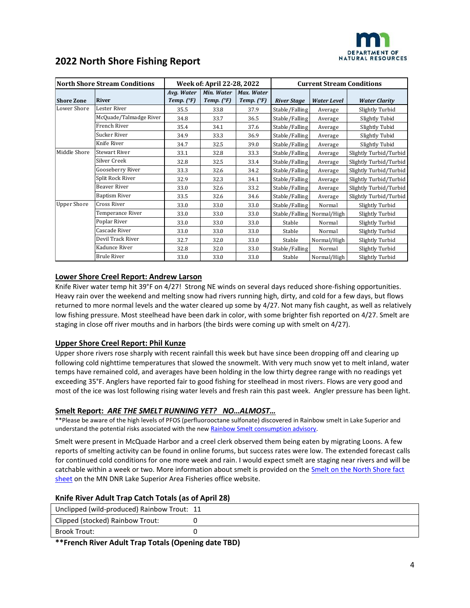

| <b>2022 North Shore Fishing Report</b> |  |  |
|----------------------------------------|--|--|
|----------------------------------------|--|--|

| <b>North Shore Stream Conditions</b> |                        |                                   | Week of: April 22-28, 2022        |                                   |                    | <b>Current Stream Conditions</b> |                        |  |  |
|--------------------------------------|------------------------|-----------------------------------|-----------------------------------|-----------------------------------|--------------------|----------------------------------|------------------------|--|--|
| <b>Shore Zone</b>                    | <b>River</b>           | Avg. Water<br>Temp. $(^{\circ}F)$ | Min. Water<br>Temp. $(^{\circ}F)$ | Max. Water<br>Temp. $(^{\circ}F)$ | <b>River Stage</b> | <b>Water Level</b>               | <b>Water Clarity</b>   |  |  |
| Lower Shore                          | Lester River           | 35.5                              | 33.8                              | 37.9                              | Stable/Falling     | Average                          | Slightly Turbid        |  |  |
|                                      | McQuade/Talmadge River | 34.8                              | 33.7                              | 36.5                              | Stable/Falling     | Average                          | Slightly Tubid         |  |  |
|                                      | French River           | 35.4                              | 34.1                              | 37.6                              | Stable/Falling     | Average                          | Slightly Tubid         |  |  |
|                                      | Sucker River           | 34.9                              | 33.3                              | 36.9                              | Stable/Falling     | Average                          | Slightly Tubid         |  |  |
|                                      | Knife River            | 34.7                              | 32.5                              | 39.0                              | Stable/Falling     | Average                          | Slightly Tubid         |  |  |
| Middle Shore                         | <b>Stewart River</b>   | 33.1                              | 32.8                              | 33.3                              | Stable/Falling     | Average                          | Slightly Turbid/Turbid |  |  |
|                                      | Silver Creek           | 32.8                              | 32.5                              | 33.4                              | Stable/Falling     | Average                          | Slightly Turbid/Turbid |  |  |
|                                      | Gooseberry River       | 33.3                              | 32.6                              | 34.2                              | Stable/Falling     | Average                          | Slightly Turbid/Turbid |  |  |
|                                      | Split Rock River       | 32.9                              | 32.3                              | 34.1                              | Stable/Falling     | Average                          | Slightly Turbid/Turbid |  |  |
|                                      | Beaver River           | 33.0                              | 32.6                              | 33.2                              | Stable/Falling     | Average                          | Slightly Turbid/Turbid |  |  |
|                                      | Baptism River          | 33.5                              | 32.6                              | 34.6                              | Stable/Falling     | Average                          | Slightly Turbid/Turbid |  |  |
| <b>Upper Shore</b>                   | <b>Cross River</b>     | 33.0                              | 33.0                              | 33.0                              | Stable/Falling     | Normal                           | Slightly Turbid        |  |  |
|                                      | Temperance River       | 33.0                              | 33.0                              | 33.0                              |                    | Stable/Falling Normal/High       | Slightly Turbid        |  |  |
|                                      | Poplar River           | 33.0                              | 33.0                              | 33.0                              | Stable             | Normal                           | Slightly Turbid        |  |  |
|                                      | Cascade River          | 33.0                              | 33.0                              | 33.0                              | Stable             | Normal                           | Slightly Turbid        |  |  |
|                                      | Devil Track River      | 32.7                              | 32.0                              | 33.0                              | Stable             | Normal/High                      | Slightly Turbid        |  |  |
|                                      | Kadunce River          | 32.8                              | 32.0                              | 33.0                              | Stable/Falling     | Normal                           | Slightly Turbid        |  |  |
|                                      | <b>Brule River</b>     | 33.0                              | 33.0                              | 33.0                              | Stable             | Normal/High                      | Slightly Turbid        |  |  |

#### **Lower Shore Creel Report: Andrew Larson**

Knife River water temp hit 39°F on 4/27! Strong NE winds on several days reduced shore-fishing opportunities. Heavy rain over the weekend and melting snow had rivers running high, dirty, and cold for a few days, but flows returned to more normal levels and the water cleared up some by 4/27. Not many fish caught, as well as relatively low fishing pressure. Most steelhead have been dark in color, with some brighter fish reported on 4/27. Smelt are staging in close off river mouths and in harbors (the birds were coming up with smelt on 4/27).

#### **Upper Shore Creel Report: Phil Kunze**

Upper shore rivers rose sharply with recent rainfall this week but have since been dropping off and clearing up following cold nighttime temperatures that slowed the snowmelt. With very much snow yet to melt inland, water temps have remained cold, and averages have been holding in the low thirty degree range with no readings yet exceeding 35°F. Anglers have reported fair to good fishing for steelhead in most rivers. Flows are very good and most of the ice was lost following rising water levels and fresh rain this past week. Angler pressure has been light.

#### **Smelt Report:** *ARE THE SMELT RUNNING YET? NO…ALMOST…*

\*\*Please be aware of the high levels of PFOS (perfluorooctane sulfonate) discovered in Rainbow smelt in Lake Superior and understand the potential risks associated with the ne[w Rainbow Smelt consumption advisory.](https://dnr.wisconsin.gov/newsroom/release/40496)

Smelt were present in McQuade Harbor and a creel clerk observed them being eaten by migrating Loons. A few reports of smelting activity can be found in online forums, but success rates were low. The extended forecast calls for continued cold conditions for one more week and rain. I would expect smelt are staging near rivers and will be catchable within a week or two. More information about smelt is provided on th[e Smelt on the North Shore fact](http://www.dnr.state.mn.us/areas/fisheries/lakesuperior/smelt.html)  [sheet](http://www.dnr.state.mn.us/areas/fisheries/lakesuperior/smelt.html) on the MN DNR Lake Superior Area Fisheries office website.

#### **Knife River Adult Trap Catch Totals (as of April 28)**

| Unclipped (wild-produced) Rainbow Trout: 11 |  |
|---------------------------------------------|--|
| Clipped (stocked) Rainbow Trout:            |  |
| Brook Trout:                                |  |

**\*\*French River Adult Trap Totals (Opening date TBD)**